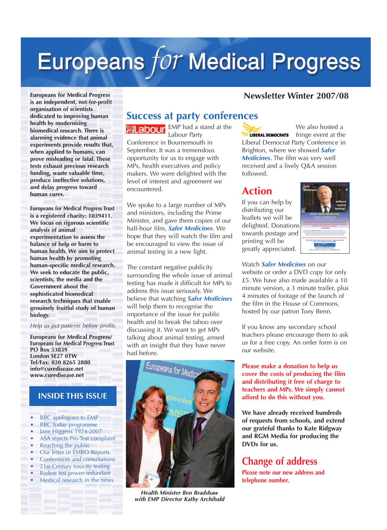# Europeans for Medical Progress

### **Newsletter Winter 2007/08**

**Europeans for Medical Progress is an independent, not-for-profit organisation of scientists dedicated to improving human health by modernising biomedical research. There is alarming evidence that animal experiments provide results that, when applied to humans, can prove misleading or fatal. These tests exhaust precious research funding, waste valuable time, produce ineffective solutions, and delay progress toward human cures.**

**Europeans for Medical Progress Trust is a registered charity: 1039411. We focus on rigorous scientific analysis of animal experimentation to assess the balance of help or harm to human health. We aim to protect human health by promoting human-specific medical research. We seek to educate the public, scientists, the media and the Government about the sophisticated biomedical research techniques that enable genuinely fruitful study of human biology.** 

*Help us put patients before profits*

**Europeans for Medical Progress/ Europeans for Medical Progress Trust PO Box 53839 London SE27 0TW Tel/Fax: 020 8265 2880 info@curedisease.net www.curedisease.net**

### **INSIDE THIS ISSUE**

- **•** BBC apologises to EMP
- **•** BBC Today programme
- **•** Jane Higgens 1924-2007
- **•** ASA rejects Pro-Test complaint
- **•** Reaching the public
- **•** Our letter in EMBO Reports **•** Conferences and consultations
- **•** 21st Century toxicity testing
- **•** Rodent test proven redundant
- **•** Medical research in the news

**Success at party conferences** EMP had a stand at the abour Labour Party Conference in Bournemouth in September. It was a tremendous opportunity for us to engage with MPs, health executives and policy makers. We were delighted with the level of interest and agreement we encountered.

We spoke to a large number of MPs and ministers, including the Prime Minister, and gave them copies of our half-hour film, *Safer Medicines*. We hope that they will watch the film and be encouraged to view the issue of animal testing in a new light.

The constant negative publicity surrounding the whole issue of animal testing has made it difficult for MPs to address this issue seriously. We believe that watching *Safer Medicines* will help them to recognise the importance of the issue for public health and to break the taboo over discussing it. We want to get MPs talking about animal testing, armed with an insight that they have never had before.



*Health Minister Ben Bradshaw with EMP Director Kathy Archibald* 

We also hosted a fringe event at the **LIBERAL DEMOCRATS** Liberal Democrat Party Conference in Brighton, where we showed *Safer Medicines*. The film was very well received and a lively Q&A session followed.

# **Action**

If you can help by distributing our leaflets we will be delighted. Donations towards postage and printing will be greatly appreciated.



### Watch *Safer Medicines* on our

website or order a DVD copy for only £5. We have also made available a 10 minute version, a 3 minute trailer, plus 4 minutes of footage of the launch of the film in the House of Commons, hosted by our patron Tony Benn.

If you know any secondary school teachers please encourage them to ask us for a free copy. An order form is on our website.

**Please make a donation to help us cover the costs of producing the film and distributing it free of charge to teachers and MPs. We simply cannot afford to do this without you.**

**We have already received hundreds of requests from schools, and extend our grateful thanks to Kate Ridgway and RGM Media for producing the DVDs for us.**

# **Change of address**

**Please note our new address and telephone number.**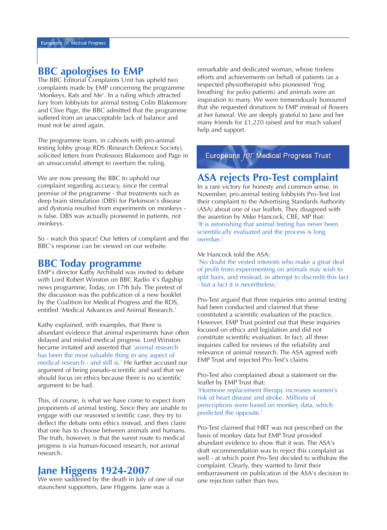# **BBC apologises to EMP**

The BBC Editorial Complaints Unit has upheld two complaints made by EMP concerning the programme 'Monkeys, Rats and Me'. In a ruling which attracted fury from lobbyists for animal testing Colin Blakemore and Clive Page, the BBC admitted that the programme suffered from an unacceptable lack of balance and must not be aired again.

The programme team, in cahoots with pro-animal testing lobby group RDS (Research Defence Society), solicited letters from Professors Blakemore and Page in an unsuccessful attempt to overturn the ruling.

We are now pressing the BBC to uphold our complaint regarding accuracy, since the central premise of the programme - that treatments such as deep brain stimulation (DBS) for Parkinson's disease and dystonia resulted from experiments on monkeys is false. DBS was actually pioneered in patients, not monkeys.

So - watch this space! Our letters of complaint and the BBC's response can be viewed on our website.

### **BBC Today programme**

EMP's director Kathy Archibald was invited to debate with Lord Robert Winston on BBC Radio 4's flagship news programme, Today, on 17th July. The pretext of the discussion was the publication of a new booklet by the Coalition for Medical Progress and the RDS, entitled 'Medical Advances and Animal Research.'

Kathy explained, with examples, that there is abundant evidence that animal experiments have often delayed and misled medical progress. Lord Winston became irritated and asserted that 'animal research has been the most valuable thing in any aspect of medical research - and still is.' He further accused our argument of being pseudo-scientific and said that we should focus on ethics because there is no scientific argument to be had.

This, of course, is what we have come to expect from proponents of animal testing. Since they are unable to engage with our reasoned scientific case, they try to deflect the debate onto ethics instead, and then claim that one has to choose between animals and humans. The truth, however, is that the surest route to medical progress is via human-focused research, not animal research.

# **Jane Higgens 1924-2007**

We were saddened by the death in July of one of our staunchest supporters, Jane Higgens. Jane was a

remarkable and dedicated woman, whose tireless efforts and achievements on behalf of patients (as a respected physiotherapist who pioneered 'frog breathing' for polio patients) and animals were an inspiration to many. We were tremendously honoured that she requested donations to EMP instead of flowers at her funeral. We are deeply grateful to Jane and her many friends for £1,220 raised and for much valued help and support.

Europeans  $for$  Medical Progress Trust

### **ASA rejects Pro-Test complaint**

In a rare victory for honesty and common sense, in November, pro-animal testing lobbyists Pro-Test lost their complaint to the Advertising Standards Authority (ASA) about one of our leaflets. They disagreed with the assertion by Mike Hancock, CBE, MP that: 'It is astonishing that animal testing has never been scientifically evaluated and the process is long overdue.'

Mr Hancock told the ASA:

'No doubt the vested interests who make a great deal of profit from experimenting on animals may wish to split hairs, and mislead, in attempt to discredit this fact - but a fact it is nevertheless.'

Pro-Test argued that three inquiries into animal testing had been conducted and claimed that these constituted a scientific evaluation of the practice. However, EMP Trust pointed out that these inquiries focused on ethics and legislation and did not constitute scientific evaluation. In fact, all three inquiries called for reviews of the reliability and relevance of animal research. The ASA agreed with EMP Trust and rejected Pro-Test's claims.

Pro-Test also complained about a statement on the leaflet by EMP Trust that: 'Hormone replacement therapy increases women's risk of heart disease and stroke. Millions of prescriptions were based on monkey data, which predicted the opposite.'

Pro-Test claimed that HRT was not prescribed on the basis of monkey data but EMP Trust provided abundant evidence to show that it was. The ASA's draft recommendation was to reject this complaint as well - at which point Pro-Test decided to withdraw the complaint. Clearly, they wanted to limit their embarrassment on publication of the ASA's decision to one rejection rather than two.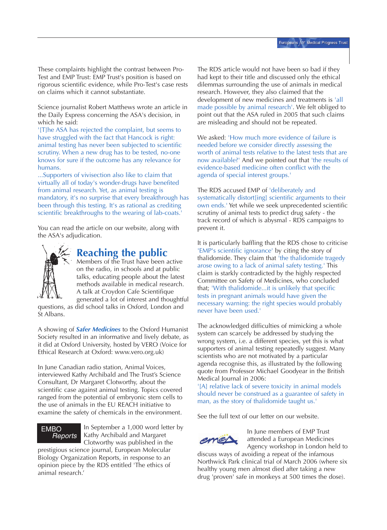These complaints highlight the contrast between Pro-Test and EMP Trust: EMP Trust's position is based on rigorous scientific evidence, while Pro-Test's case rests on claims which it cannot substantiate.

Science journalist Robert Matthews wrote an article in the Daily Express concerning the ASA's decision, in which he said:

'[T]he ASA has rejected the complaint, but seems to have struggled with the fact that Hancock is right: animal testing has never been subjected to scientific scrutiny. When a new drug has to be tested, no-one knows for sure if the outcome has any relevance for humans.

...Supporters of vivisection also like to claim that virtually all of today's wonder-drugs have benefited from animal research. Yet, as animal testing is mandatory, it's no surprise that every breakthrough has been through this testing. It's as rational as crediting scientific breakthroughs to the wearing of lab-coats.'

You can read the article on our website, along with the ASA's adjudication.



# **Reaching the public**

Members of the Trust have been active on the radio, in schools and at public talks, educating people about the latest methods available in medical research. A talk at Croydon Cafe Scientifique generated a lot of interest and thoughtful questions, as did school talks in Oxford, London and

St Albans.

A showing of *Safer Medicines* to the Oxford Humanist Society resulted in an informative and lively debate, as it did at Oxford University, hosted by VERO (Voice for Ethical Research at Oxford: www.vero.org.uk)

In June Canadian radio station, Animal Voices, interviewed Kathy Archibald and The Trust's Science Consultant, Dr Margaret Clotworthy, about the scientific case against animal testing. Topics covered ranged from the potential of embryonic stem cells to the use of animals in the EU REACH initiative to examine the safety of chemicals in the environment.

### EMBO *Reports*

In September a 1,000 word letter by Kathy Archibald and Margaret Clotworthy was published in the

prestigious science journal, European Molecular Biology Organization Reports, in response to an opinion piece by the RDS entitled 'The ethics of animal research.'

The RDS article would not have been so bad if they had kept to their title and discussed only the ethical dilemmas surrounding the use of animals in medical research. However, they also claimed that the development of new medicines and treatments is 'all made possible by animal research'. We felt obliged to point out that the ASA ruled in 2005 that such claims are misleading and should not be repeated.

We asked: 'How much more evidence of failure is needed before we consider directly assessing the worth of animal tests relative to the latest tests that are now available?' And we pointed out that 'the results of evidence-based medicine often conflict with the agenda of special interest groups.'

The RDS accused EMP of 'deliberately and systematically distort[ing] scientific arguments to their own ends.' Yet while we seek unprecedented scientific scrutiny of animal tests to predict drug safety - the track record of which is abysmal - RDS campaigns to prevent it.

It is particularly baffling that the RDS chose to criticise 'EMP's scientific ignorance' by citing the story of thalidomide. They claim that 'the thalidomide tragedy arose owing to a lack of animal safety testing.' This claim is starkly contradicted by the highly respected Committee on Safety of Medicines, who concluded that; 'With thalidomide...it is unlikely that specific tests in pregnant animals would have given the necessary warning: the right species would probably never have been used.'

The acknowledged difficulties of mimicking a whole system can scarcely be addressed by studying the wrong system, i.e. a different species, yet this is what supporters of animal testing repeatedly suggest. Many scientists who are not motivated by a particular agenda recognise this, as illustrated by the following quote from Professor Michael Goodyear in the British Medical Journal in 2006:

'[A] relative lack of severe toxicity in animal models should never be construed as a guarantee of safety in man, as the story of thalidomide taught us.'

See the full text of our letter on our website.



In June members of EMP Trust attended a European Medicines Agency workshop in London held to

discuss ways of avoiding a repeat of the infamous Northwick Park clinical trial of March 2006 (where six healthy young men almost died after taking a new drug 'proven' safe in monkeys at 500 times the dose).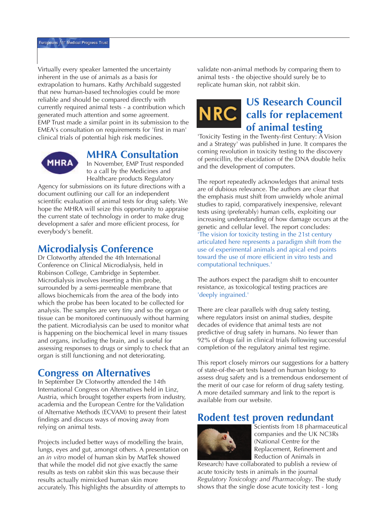Virtually every speaker lamented the uncertainty inherent in the use of animals as a basis for extrapolation to humans. Kathy Archibald suggested that new human-based technologies could be more reliable and should be compared directly with currently required animal tests - a contribution which generated much attention and some agreement. EMP Trust made a similar point in its submission to the EMEA's consultation on requirements for 'first in man' clinical trials of potential high risk medicines.



### **MHRA Consultation**

In November, EMP Trust responded to a call by the Medicines and Healthcare products Regulatory

Agency for submissions on its future directions with a document outlining our call for an independent scientific evaluation of animal tests for drug safety. We hope the MHRA will seize this opportunity to appraise the current state of technology in order to make drug development a safer and more efficient process, for everybody's benefit.

# **Microdialysis Conference**

Dr Clotworthy attended the 4th International Conference on Clinical Microdialysis, held in Robinson College, Cambridge in September. Microdialysis involves inserting a thin probe, surrounded by a semi-permeable membrane that allows biochemicals from the area of the body into which the probe has been located to be collected for analysis. The samples are very tiny and so the organ or tissue can be monitored continuously without harming the patient. Microdialysis can be used to monitor what is happening on the biochemical level in many tissues and organs, including the brain, and is useful for assessing responses to drugs or simply to check that an organ is still functioning and not deteriorating.

## **Congress on Alternatives**

In September Dr Clotworthy attended the 14th International Congress on Alternatives held in Linz, Austria, which brought together experts from industry, academia and the European Centre for the Validation of Alternative Methods (ECVAM) to present their latest findings and discuss ways of moving away from relying on animal tests.

Projects included better ways of modelling the brain, lungs, eyes and gut, amongst others. A presentation on an *in vitro* model of human skin by MatTek showed that while the model did not give exactly the same results as tests on rabbit skin this was because their results actually mimicked human skin more accurately. This highlights the absurdity of attempts to

validate non-animal methods by comparing them to animal tests - the objective should surely be to replicate human skin, not rabbit skin.

# **US Research Council NRC** calls for replacement **of animal testing**

'Toxicity Testing in the Twenty-first Century: A Vision and a Strategy' was published in June. It compares the coming revolution in toxicity testing to the discovery of penicillin, the elucidation of the DNA double helix and the development of computers.

The report repeatedly acknowledges that animal tests are of dubious relevance. The authors are clear that the emphasis must shift from unwieldy whole animal studies to rapid, comparatively inexpensive, relevant tests using (preferably) human cells, exploiting our increasing understanding of how damage occurs at the genetic and cellular level. The report concludes: 'The vision for toxicity testing in the 21st century articulated here represents a paradigm shift from the use of experimental animals and apical end points toward the use of more efficient in vitro tests and computational techniques.'

The authors expect the paradigm shift to encounter resistance, as toxicological testing practices are 'deeply ingrained.'

There are clear parallels with drug safety testing, where regulators insist on animal studies, despite decades of evidence that animal tests are not predictive of drug safety in humans. No fewer than 92% of drugs fail in clinical trials following successful completion of the regulatory animal test regime.

This report closely mirrors our suggestions for a battery of state-of-the-art tests based on human biology to assess drug safety and is a tremendous endorsement of the merit of our case for reform of drug safety testing. A more detailed summary and link to the report is available from our website.

# **Rodent test proven redundant**



Scientists from 18 pharmaceutical companies and the UK NC3Rs (National Centre for the Replacement, Refinement and Reduction of Animals in

Research) have collaborated to publish a review of acute toxicity tests in animals in the journal *Regulatory Toxicology and Pharmacology*. The study shows that the single dose acute toxicity test - long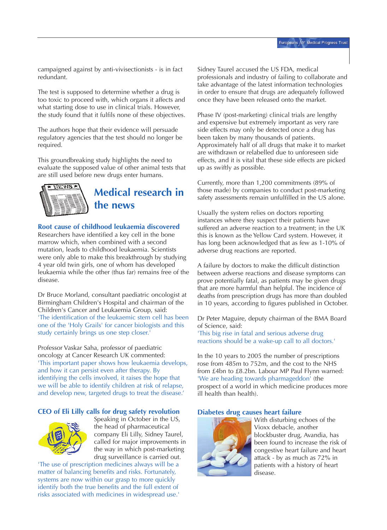campaigned against by anti-vivisectionists - is in fact redundant.

The test is supposed to determine whether a drug is too toxic to proceed with, which organs it affects and what starting dose to use in clinical trials. However, the study found that it fulfils none of these objectives.

The authors hope that their evidence will persuade regulatory agencies that the test should no longer be required.

This groundbreaking study highlights the need to evaluate the supposed value of other animal tests that are still used before new drugs enter humans.



# **Medical research in the news**

### **Root cause of childhood leukaemia discovered**

Researchers have identified a key cell in the bone marrow which, when combined with a second mutation, leads to childhood leukaemia. Scientists were only able to make this breakthrough by studying 4 year old twin girls, one of whom has developed leukaemia while the other (thus far) remains free of the disease.

Dr Bruce Morland, consultant paediatric oncologist at Birmingham Children's Hospital and chairman of the Children's Cancer and Leukaemia Group, said: 'The identification of the leukaemic stem cell has been one of the 'Holy Grails' for cancer biologists and this study certainly brings us one step closer.'

Professor Vaskar Saha, professor of paediatric oncology at Cancer Research UK commented: 'This important paper shows how leukaemia develops, and how it can persist even after therapy. By identifying the cells involved, it raises the hope that we will be able to identify children at risk of relapse, and develop new, targeted drugs to treat the disease.'

### **CEO of Eli Lilly calls for drug safety revolution**



Speaking in October in the US, the head of pharmaceutical company Eli Lilly, Sidney Taurel, called for major improvements in the way in which post-marketing drug surveillance is carried out.

'The use of prescription medicines always will be a matter of balancing benefits and risks. Fortunately, systems are now within our grasp to more quickly identify both the true benefits and the full extent of risks associated with medicines in widespread use.'

Sidney Taurel accused the US FDA, medical professionals and industry of failing to collaborate and take advantage of the latest information technologies in order to ensure that drugs are adequately followed once they have been released onto the market.

Phase IV (post-marketing) clinical trials are lengthy and expensive but extremely important as very rare side effects may only be detected once a drug has been taken by many thousands of patients. Approximately half of all drugs that make it to market are withdrawn or relabelled due to unforeseen side effects, and it is vital that these side effects are picked up as swiftly as possible.

Currently, more than 1,200 commitments (89% of those made) by companies to conduct post-marketing safety assessments remain unfulfilled in the US alone.

Usually the system relies on doctors reporting instances where they suspect their patients have suffered an adverse reaction to a treatment; in the UK this is known as the Yellow Card system. However, it has long been acknowledged that as few as 1-10% of adverse drug reactions are reported.

A failure by doctors to make the difficult distinction between adverse reactions and disease symptoms can prove potentially fatal, as patients may be given drugs that are more harmful than helpful. The incidence of deaths from prescription drugs has more than doubled in 10 years, according to figures published in October.

Dr Peter Maguire, deputy chairman of the BMA Board of Science, said: 'This big rise in fatal and serious adverse drug reactions should be a wake-up call to all doctors.'

In the 10 years to 2005 the number of prescriptions rose from 485m to 752m, and the cost to the NHS from £4bn to £8.2bn. Labour MP Paul Flynn warned: 'We are heading towards pharmageddon' (the prospect of a world in which medicine produces more ill health than health).

### **Diabetes drug causes heart failure**



With disturbing echoes of the Vioxx debacle, another blockbuster drug, Avandia, has been found to increase the risk of congestive heart failure and heart attack - by as much as 72% in patients with a history of heart disease.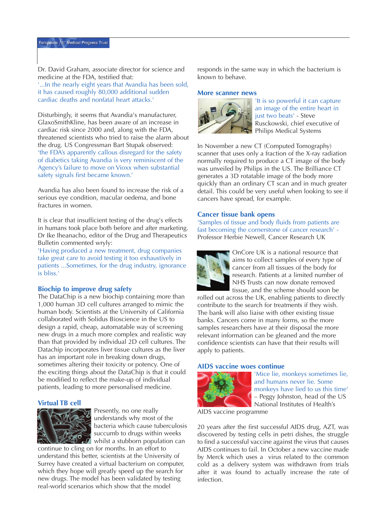Dr. David Graham, associate director for science and medicine at the FDA, testified that: '...In the nearly eight years that Avandia has been sold, it has caused roughly 80,000 additional sudden cardiac deaths and nonfatal heart attacks.'

Disturbingly, it seems that Avandia's manufacturer, GlaxoSmithKline, has been aware of an increase in cardiac risk since 2000 and, along with the FDA, threatened scientists who tried to raise the alarm about the drug. US Congressman Bart Stupak observed: 'the FDA's apparently callous disregard for the safety of diabetics taking Avandia is very reminiscent of the Agency's failure to move on Vioxx when substantial safety signals first became known.'

Avandia has also been found to increase the risk of a serious eye condition, macular oedema, and bone fractures in women.

It is clear that insufficient testing of the drug's effects in humans took place both before and after marketing. Dr Ike Iheanacho, editor of the Drug and Therapeutics Bulletin commented wryly:

'Having produced a new treatment, drug companies take great care to avoid testing it too exhaustively in patients ...Sometimes, for the drug industry, ignorance is bliss.'

#### **Biochip to improve drug safety**

The DataChip is a new biochip containing more than 1,000 human 3D cell cultures arranged to mimic the human body. Scientists at the University of California collaborated with Solidus Bioscience in the US to design a rapid, cheap, automatable way of screening new drugs in a much more complex and realistic way than that provided by individual 2D cell cultures. The Datachip incorporates liver tissue cultures as the liver has an important role in breaking down drugs, sometimes altering their toxicity or potency. One of the exciting things about the DataChip is that it could be modified to reflect the make-up of individual patients, leading to more personalised medicine.

#### **Virtual TB cell**



Presently, no one really understands why most of the bacteria which cause tuberculosis succumb to drugs within weeks whilst a stubborn population can

continue to cling on for months. In an effort to understand this better, scientists at the University of Surrey have created a virtual bacterium on computer, which they hope will greatly speed up the search for new drugs. The model has been validated by testing real-world scenarios which show that the model

responds in the same way in which the bacterium is known to behave.

#### **More scanner news**



'It is so powerful it can capture an image of the entire heart in just two beats' - Steve Rusckowski, chief executive of Philips Medical Systems

In November a new CT (Computed Tomography) scanner that uses only a fraction of the X-ray radiation normally required to produce a CT image of the body was unveiled by Philips in the US. The Brilliance CT generates a 3D rotatable image of the body more quickly than an ordinary CT scan and in much greater detail. This could be very useful when looking to see if cancers have spread, for example.

#### **Cancer tissue bank opens**

'Samples of tissue and body fluids from patients are fast becoming the cornerstone of cancer research' - Professor Herbie Newell, Cancer Research UK



OnCore UK is a national resource that aims to collect samples of every type of cancer from all tissues of the body for research. Patients at a limited number of NHS Trusts can now donate removed tissue, and the scheme should soon be

rolled out across the UK, enabling patients to directly contribute to the search for treatments if they wish. The bank will also liaise with other existing tissue banks. Cancers come in many forms, so the more samples researchers have at their disposal the more relevant information can be gleaned and the more confidence scientists can have that their results will apply to patients.

### **AIDS vaccine woes continue**



'Mice lie, monkeys sometimes lie, and humans never lie. Some monkeys have lied to us this time' – Peggy Johnston, head of the US National Institutes of Health's

AIDS vaccine programme

20 years after the first successful AIDS drug, AZT, was discovered by testing cells in petri dishes, the struggle to find a successful vaccine against the virus that causes AIDS continues to fail. In October a new vaccine made by Merck which uses a virus related to the common cold as a delivery system was withdrawn from trials after it was found to actually increase the rate of infection.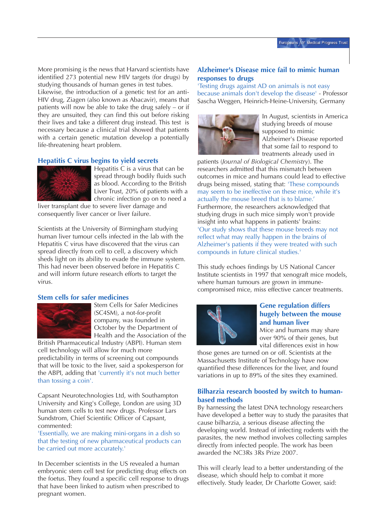More promising is the news that Harvard scientists have identified 273 potential new HIV targets (for drugs) by studying thousands of human genes in test tubes.

Likewise, the introduction of a genetic test for an anti-HIV drug, Ziagen (also known as Abacavir), means that patients will now be able to take the drug safely – or if they are unsuited, they can find this out before risking their lives and take a different drug instead. This test is necessary because a clinical trial showed that patients with a certain genetic mutation develop a potentially life-threatening heart problem.

### **Hepatitis C virus begins to yield secrets**



Hepatitis C is a virus that can be spread through bodily fluids such as blood. According to the British Liver Trust, 20% of patients with a chronic infection go on to need a

liver transplant due to severe liver damage and consequently liver cancer or liver failure.

Scientists at the University of Birmingham studying human liver tumour cells infected in the lab with the Hepatitis C virus have discovered that the virus can spread directly from cell to cell, a discovery which sheds light on its ability to evade the immune system. This had never been observed before in Hepatitis C and will inform future research efforts to target the virus.

### **Stem cells for safer medicines**



Stem Cells for Safer Medicines (SC4SM), a not-for-profit company, was founded in October by the Department of Health and the Association of the

British Pharmaceutical Industry (ABPI). Human stem cell technology will allow for much more predictability in terms of screening out compounds that will be toxic to the liver, said a spokesperson for the ABPI, adding that 'currently it's not much better than tossing a coin'.

Capsant Neurotechnologies Ltd, with Southampton University and King's College, London are using 3D human stem cells to test new drugs. Professor Lars Sundstrom, Chief Scientific Officer of Capsant, commented:

'Essentially, we are making mini-organs in a dish so that the testing of new pharmaceutical products can be carried out more accurately.'

In December scientists in the US revealed a human embryonic stem cell test for predicting drug effects on the foetus. They found a specific cell response to drugs that have been linked to autism when prescribed to pregnant women.

### **Alzheimer's Disease mice fail to mimic human responses to drugs**

'Testing drugs against AD on animals is not easy because animals don't develop the disease' - Professor Sascha Weggen, Heinrich-Heine-University, Germany



In August, scientists in America studying breeds of mouse supposed to mimic Alzheimer's Disease reported that some fail to respond to treatments already used in

patients (*Journal of Biological Chemistry*). The researchers admitted that this mismatch between outcomes in mice and humans could lead to effective drugs being missed, stating that: 'These compounds may seem to be ineffective on these mice, while it's actually the mouse breed that is to blame.' Furthermore, the researchers acknowledged that studying drugs in such mice simply won't provide insight into what happens in patients' brains: 'Our study shows that these mouse breeds may not reflect what may really happen in the brains of Alzheimer's patients if they were treated with such compounds in future clinical studies.'

This study echoes findings by US National Cancer Institute scientists in 1997 that xenograft mice models, where human tumours are grown in immunecompromised mice, miss effective cancer treatments.



### **Gene regulation differs hugely between the mouse and human liver**

Mice and humans may share over 90% of their genes, but vital differences exist in how

those genes are turned on or off. Scientists at the Massachusetts Institute of Technology have now quantified these differences for the liver, and found variations in up to 89% of the sites they examined.

### **Bilharzia research boosted by switch to humanbased methods**

By harnessing the latest DNA technology researchers have developed a better way to study the parasites that cause bilharzia, a serious disease affecting the developing world. Instead of infecting rodents with the parasites, the new method involves collecting samples directly from infected people. The work has been awarded the NC3Rs 3Rs Prize 2007.

This will clearly lead to a better understanding of the disease, which should help to combat it more effectively. Study leader, Dr Charlotte Gower, said: